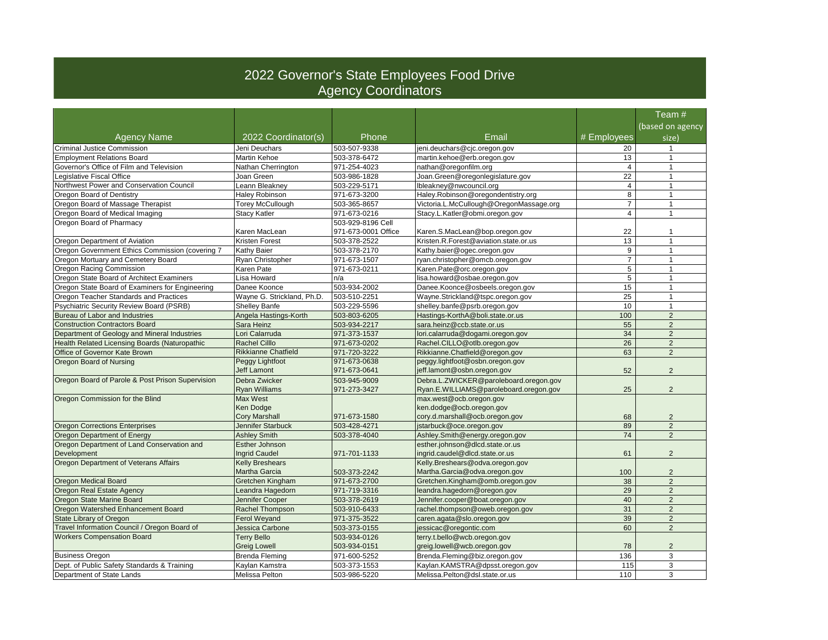## 2022 Governor's State Employees Food Drive Agency Coordinators

|                                                      |                            |                     |                                         |                  | Team #                    |
|------------------------------------------------------|----------------------------|---------------------|-----------------------------------------|------------------|---------------------------|
| <b>Agency Name</b>                                   | 2022 Coordinator(s)        | Phone               | Email                                   | # Employees      | (based on agency<br>size) |
| <b>Criminal Justice Commission</b>                   | Jeni Deuchars              | 503-507-9338        | jeni.deuchars@cjc.oregon.gov            | 20               | $\mathbf{1}$              |
| <b>Employment Relations Board</b>                    | Martin Kehoe               | 503-378-6472        | martin.kehoe@erb.oregon.gov             | 13               | $\overline{1}$            |
| Governor's Office of Film and Television             | Nathan Cherrington         | 971-254-4023        | nathan@oregonfilm.org                   | $\overline{4}$   | $\overline{1}$            |
| Legislative Fiscal Office                            | Joan Green                 | 503-986-1828        | Joan.Green@oregonlegislature.gov        | $\overline{22}$  | $\mathbf{1}$              |
| Northwest Power and Conservation Council             | Leann Bleakney             | 503-229-5171        | lbleakney@nwcouncil.org                 | $\overline{4}$   | $\overline{1}$            |
| Oregon Board of Dentistry                            | <b>Haley Robinson</b>      | 971-673-3200        | Haley.Robinson@oregondentistry.org      | 8                | $\mathbf{1}$              |
| Oregon Board of Massage Therapist                    | Torey McCullough           | 503-365-8657        | Victoria.L.McCullough@OregonMassage.org | $\overline{7}$   | $\mathbf{1}$              |
| Oregon Board of Medical Imaging                      | <b>Stacy Katler</b>        | 971-673-0216        | Stacy.L.Katler@obmi.oregon.gov          | $\overline{4}$   | $\mathbf{1}$              |
| Oregon Board of Pharmacy                             |                            | 503-929-8196 Cell   |                                         |                  |                           |
|                                                      | Karen MacLean              | 971-673-0001 Office | Karen.S.MacLean@bop.oregon.gov          | 22               | $\mathbf{1}$              |
| Oregon Department of Aviation                        | Kristen Forest             | 503-378-2522        | Kristen.R.Forest@aviation.state.or.us   | 13               | 1                         |
| Oregon Government Ethics Commission (covering 7      | Kathy Baier                | 503-378-2170        | Kathy.baier@ogec.oregon.gov             | 9                | $\mathbf{1}$              |
| Oregon Mortuary and Cemetery Board                   | Ryan Christopher           | 971-673-1507        | ryan.christopher@omcb.oregon.gov        | $\overline{7}$   | $\overline{1}$            |
| Oregon Racing Commission                             | Karen Pate                 | 971-673-0211        | Karen.Pate@orc.oregon.gov               | $\overline{5}$   | $\mathbf{1}$              |
| Oregon State Board of Architect Examiners            | Lisa Howard                | n/a                 | lisa.howard@osbae.oregon.gov            | 5                | 1                         |
| Oregon State Board of Examiners for Engineering      | Danee Koonce               | 503-934-2002        | Danee.Koonce@osbeels.oregon.gov         | 15               | $\overline{1}$            |
| Oregon Teacher Standards and Practices               | Wayne G. Strickland, Ph.D. | 503-510-2251        | Wayne.Strickland@tspc.oregon.gov        | 25               | $\overline{1}$            |
| Psychiatric Security Review Board (PSRB)             | <b>Shelley Banfe</b>       | 503-229-5596        | shelley.banfe@psrb.oregon.gov           | 10 <sup>10</sup> | $\mathbf{1}$              |
| Bureau of Labor and Industries                       | Angela Hastings-Korth      | 503-803-6205        | Hastings-KorthA@boli.state.or.us        | 100              | $\overline{2}$            |
| <b>Construction Contractors Board</b>                | Sara Heinz                 | 503-934-2217        | sara.heinz@ccb.state.or.us              | 55               | $\overline{2}$            |
| Department of Geology and Mineral Industries         | Lori Calarruda             | 971-373-1537        | lori.calarruda@dogami.oregon.gov        | 34               | 2                         |
| <b>Health Related Licensing Boards (Naturopathic</b> | <b>Rachel Cilllo</b>       | 971-673-0202        | Rachel.CILLO@otlb.oregon.gov            | $\overline{26}$  | $\overline{2}$            |
| Office of Governor Kate Brown                        | <b>Rikkianne Chatfield</b> | 971-720-3222        | Rikkianne.Chatfield@oregon.gov          | 63               | $\overline{2}$            |
| Oregon Board of Nursing                              | Peggy Lightfoot            | 971-673-0638        | peggy.lightfoot@osbn.oregon.gov         |                  |                           |
|                                                      | <b>Jeff Lamont</b>         | 971-673-0641        | jeff.lamont@osbn.oregon.gov             | 52               | 2                         |
| Oregon Board of Parole & Post Prison Supervision     | Debra Zwicker              | 503-945-9009        | Debra.L.ZWICKER@paroleboard.oregon.gov  |                  |                           |
|                                                      | <b>Rvan Williams</b>       | 971-273-3427        | Ryan.E.WILLIAMS@paroleboard.oregon.gov  | 25               | 2                         |
| Oregon Commission for the Blind                      | Max West                   |                     | max.west@ocb.oregon.gov                 |                  |                           |
|                                                      | Ken Dodge                  |                     | ken.dodge@ocb.oregon.gov                |                  |                           |
|                                                      | <b>Cory Marshall</b>       | 971-673-1580        | cory.d.marshall@ocb.oregon.gov          | 68               | $\overline{2}$            |
| <b>Oregon Corrections Enterprises</b>                | Jennifer Starbuck          | 503-428-4271        | jstarbuck@oce.oregon.gov                | 89               | $\overline{2}$            |
| Oregon Department of Energy                          | <b>Ashley Smith</b>        | 503-378-4040        | Ashley.Smith@energy.oregon.gov          | 74               | $\overline{2}$            |
| Oregon Department of Land Conservation and           | <b>Esther Johnson</b>      |                     | esther.johnson@dlcd.state.or.us         |                  |                           |
| Development                                          | <b>Ingrid Caudel</b>       | 971-701-1133        | ingrid.caudel@dlcd.state.or.us          | 61               | 2                         |
| Oregon Department of Veterans Affairs                | <b>Kelly Breshears</b>     |                     | Kelly.Breshears@odva.oregon.gov         |                  |                           |
|                                                      | Martha Garcia              | 503-373-2242        | Martha.Garcia@odva.oregon.gov           | 100              | $\overline{2}$            |
| Oregon Medical Board                                 | Gretchen Kingham           | 971-673-2700        | Gretchen.Kingham@omb.oregon.gov         | 38               | 2                         |
| Oregon Real Estate Agency                            | Leandra Hagedorn           | 971-719-3316        | leandra.hagedorn@oregon.gov             | 29               | $\overline{2}$            |
| Oregon State Marine Board                            | Jennifer Cooper            | 503-378-2619        | Jennifer.cooper@boat.oregon.gov         | 40               | $\overline{2}$            |
| Oregon Watershed Enhancement Board                   | Rachel Thompson            | 503-910-6433        | rachel.thompson@oweb.oregon.gov         | 31               | $\overline{2}$            |
| State Library of Oregon                              | <b>Ferol Weyand</b>        | 971-375-3522        | caren.agata@slo.oregon.gov              | 39               | $\overline{2}$            |
| Travel Information Council / Oregon Board of         | Jessica Carbone            | 503-373-0155        | jessicac@oregontic.com                  | 60               | 2                         |
| <b>Workers Compensation Board</b>                    | <b>Terry Bello</b>         | 503-934-0126        | terry.t.bello@wcb.oregon.gov            |                  |                           |
|                                                      | <b>Greig Lowell</b>        | 503-934-0151        | greig.lowell@wcb.oregon.gov             | 78               | $\overline{2}$            |
| <b>Business Oregon</b>                               | <b>Brenda Fleming</b>      | 971-600-5252        | Brenda.Fleming@biz.oregon.gov           | 136              | 3                         |
| Dept. of Public Safety Standards & Training          | Kavlan Kamstra             | 503-373-1553        | Kaylan.KAMSTRA@dpsst.oregon.gov         | 115              | 3                         |
| Department of State Lands                            | Melissa Pelton             | 503-986-5220        | Melissa.Pelton@dsl.state.or.us          | 110              | 3                         |